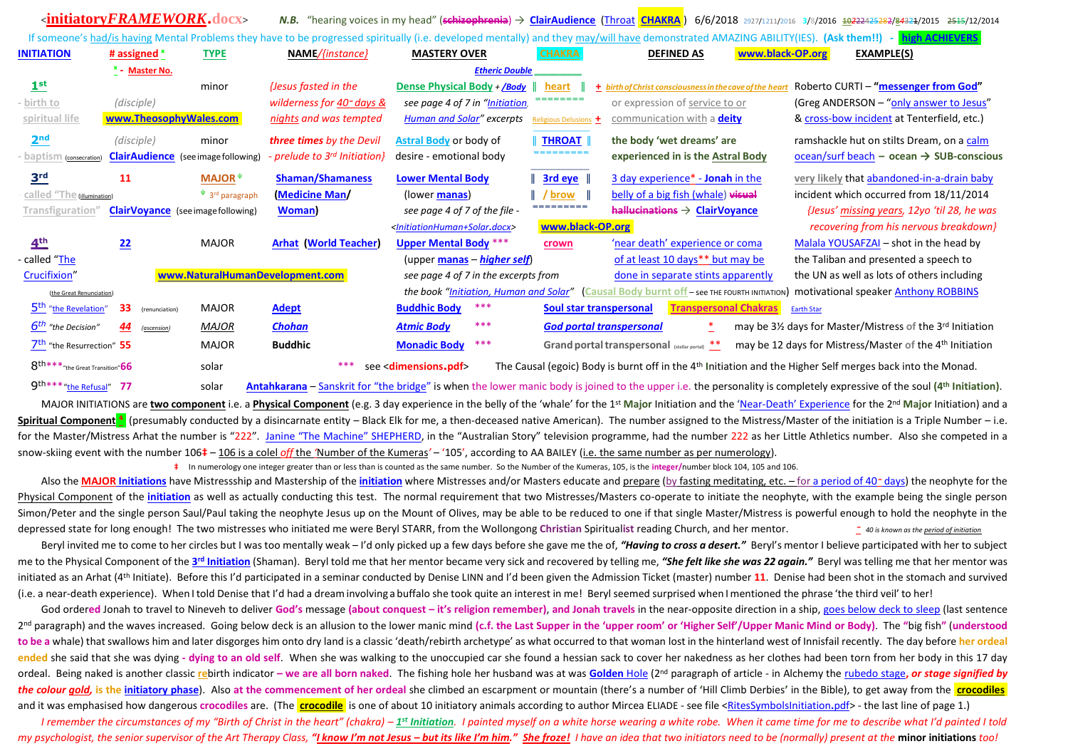|                                                                                                                                                                                                     | <initiatoryframework.docx></initiatoryframework.docx> |                                           |                                 |                                                           |                       |                                                                                                                        | N.B. "hearing voices in my head" (schizophrenia) → ClairAudience (Throat CHAKRA) 6/6/2018 2927/1211/2016 3/8/2016 30222425382/84334/2015 2515/12/2014 |
|-----------------------------------------------------------------------------------------------------------------------------------------------------------------------------------------------------|-------------------------------------------------------|-------------------------------------------|---------------------------------|-----------------------------------------------------------|-----------------------|------------------------------------------------------------------------------------------------------------------------|-------------------------------------------------------------------------------------------------------------------------------------------------------|
| If someone's had/is having Mental Problems they have to be progressed spiritually (i.e. developed mentally) and they may/will have demonstrated AMAZING ABILITY(IES). (Ask them!!) - high ACHIEVERS |                                                       |                                           |                                 |                                                           |                       |                                                                                                                        |                                                                                                                                                       |
| <b>INITIATION</b>                                                                                                                                                                                   | # assigned $*$                                        | <b>TYPE</b>                               | NAME/{instance}                 | <b>MASTERY OVER</b>                                       | <b>CHAKRA</b>         | <b>DEFINED AS</b><br>www.black-OP.org                                                                                  | EXAMPLE(S)                                                                                                                                            |
| <b>Etheric Double</b><br><sup>x</sup> - Master No.                                                                                                                                                  |                                                       |                                           |                                 |                                                           |                       |                                                                                                                        |                                                                                                                                                       |
| 1 <sup>st</sup>                                                                                                                                                                                     |                                                       | minor                                     | {Jesus fasted in the            | Dense Physical Body + $\sqrt{Body}$                       | heart                 | + birth of Christ consciousness in the cave of the hear                                                                | Roberto CURTI - "messenger from God"                                                                                                                  |
| birth to                                                                                                                                                                                            | (disciple)                                            |                                           | wilderness for $402$ days &     | see page 4 of 7 in "Initiation,                           | ========              | or expression of service to or                                                                                         | (Greg ANDERSON - "only answer to Jesus"                                                                                                               |
| spiritual life                                                                                                                                                                                      | www.TheosophyWales.com                                |                                           | nights and was tempted          | <b>Human and Solar"</b> excerpts                          | Religious Delusions + | communication with a <b>deity</b>                                                                                      | & cross-bow incident at Tenterfield, etc.)                                                                                                            |
| 2 <sup>nd</sup>                                                                                                                                                                                     | (disciple)                                            | minor                                     | three times by the Devil        | Astral Body or body of                                    | <b>THROAT</b>         | the body 'wet dreams' are                                                                                              | ramshackle hut on stilts Dream, on a calm                                                                                                             |
| baptism<br>(consecration)                                                                                                                                                                           | <b>Clair Audience</b> (see image following)           |                                           | prelude to $3^{rd}$ Initiation} | desire - emotional body                                   | =========             | experienced in is the Astral Body                                                                                      | $ocean/surf beach - ocean \rightarrow SUB-conscious$                                                                                                  |
| 3 <sup>rd</sup>                                                                                                                                                                                     | 11                                                    | <b>MAJOR</b> <sup><math>\psi</math></sup> | <b>Shaman/Shamaness</b>         | <b>Lower Mental Body</b>                                  | $\parallel$ 3rd eye   | 3 day experience* - Jonah in the                                                                                       | very likely that abandoned-in-a-drain baby                                                                                                            |
| called "The (illumination)                                                                                                                                                                          |                                                       | $\Psi$ 3 <sup>rd</sup> paragraph          | (Medicine Man/                  | (lower <b>manas</b> )                                     | <b>brow</b>           | belly of a big fish (whale) visual                                                                                     | incident which occurred from 18/11/2014                                                                                                               |
| Transfiguration'                                                                                                                                                                                    | <b>ClairVoyance</b> (see image following)             |                                           | Woman)                          | see page 4 of 7 of the file -                             | =========             | $h$ allucinations $\rightarrow$ ClairVoyance                                                                           | {Jesus' missing years, 12yo 'til 28, he was                                                                                                           |
|                                                                                                                                                                                                     |                                                       |                                           |                                 | <initiationhuman+solar.docx></initiationhuman+solar.docx> | www.black-OP.org      |                                                                                                                        | recovering from his nervous breakdown}                                                                                                                |
| 4 <sup>th</sup>                                                                                                                                                                                     | 22                                                    | <b>MAJOR</b>                              | <b>Arhat (World Teacher)</b>    | <b>Upper Mental Body</b> ***                              | crown                 | 'near death' experience or coma                                                                                        | Malala YOUSAFZAI - shot in the head by                                                                                                                |
| called " <u>The</u>                                                                                                                                                                                 |                                                       |                                           |                                 | (upper manas – higher self)                               |                       | of at least 10 days** but may be                                                                                       | the Taliban and presented a speech to                                                                                                                 |
| Crucifixion"                                                                                                                                                                                        |                                                       |                                           | www.NaturalHumanDevelopment.com | see page 4 of 7 in the excerpts from                      |                       | done in separate stints apparently                                                                                     | the UN as well as lots of others including                                                                                                            |
| (the Great Renunciation)                                                                                                                                                                            |                                                       |                                           |                                 | the book "Initiation, Human and Solar"                    |                       | (Causal Body burnt off-see THE FOURTH INITIATION) motivational speaker Anthony ROBBINS                                 |                                                                                                                                                       |
| 5 <sup>th</sup> "the Revelation"                                                                                                                                                                    | 33<br>(renunciation)                                  | <b>MAJOR</b>                              | Adept                           | ***<br><b>Buddhic Body</b>                                |                       | <b>Transpersonal Chakras</b><br>Soul star transpersonal                                                                | <b>Earth Star</b>                                                                                                                                     |
| 6 <sup>th</sup> "the Decision"                                                                                                                                                                      | 44<br>(ascension)                                     | <b>MAJOR</b>                              | <b>Chohan</b>                   | ***<br><b>Atmic Body</b>                                  |                       | <b>God portal transpersonal</b>                                                                                        | may be 3½ days for Master/Mistress of the 3 <sup>rd</sup> Initiation                                                                                  |
| 7 <sup>th</sup> "the Resurrection" 55                                                                                                                                                               |                                                       | <b>MAJOR</b>                              | <b>Buddhic</b>                  | ***<br><b>Monadic Body</b>                                |                       | Grand portal transpersonal (stellar portal) **                                                                         | may be 12 days for Mistress/Master of the 4 <sup>th</sup> Initiation                                                                                  |
| 8 <sup>th***</sup> "the Great Transition" 66                                                                                                                                                        |                                                       | solar                                     |                                 | see <dimensions.pdf></dimensions.pdf>                     |                       | The Causal (egoic) Body is burnt off in the 4 <sup>th</sup> Initiation and the Higher Self merges back into the Monad. |                                                                                                                                                       |

9th\*\*\* "the Refusal" 77 solar [Antahkarana](https://blavatskytheosophy.com/2016/04/12/h-p-blavatsky-on-the-antahkarana) – [Sanskrit for "the bridge"](https://meader.org/articles/antahkarana-the-bridge-to-the-sacred) is when the lower manic body is joined to the upper i.e. the personality is completely expressive of the soul (4<sup>th</sup> Initiation).

MAJOR INITIATIONS are two component i.e. a Physical Component (e.g. 3 day experience in the belly of the 'whale' for the 1st Major Initiation and the 'Near-[Death' Experience](http://lifeafterlife.com/) for the 2<sup>nd</sup> Major Initiation) and a Spiritual Component<sup>4</sup> (presumably conducted by a disincarnate entity – Black Elk for me, a then-deceased native American). The number assigned to the Mistress/Master of the initiation is a Triple Number – i.e. for the Master/Mistress Arhat the number is "222". [Janine "The Machine" SHEPHERD,](http://www.abc.net.au/local/stories/2007/03/23/1879844.htm) in the "Australian Story" television programme, had the number 222 as her Little Athletics number. Also she competed in a snow-skiing event with the number 106**‡** – 106 is a colel *off* the *'*Number of the Kumeras*'* – '105', according to AA BAILEY (i.e. the same number as per numerology).

**‡** In numerology one integer greater than or less than is counted as the same number. So the Number of the Kumeras, 105, is the **integer/**number block 104, 105 and 106.

Also the MAJOR [Initiations](http://www.makara.us/05ref/02comps/initiation/IFFH%204/higher_initiations.doc) have Mistressship and Mastership of the [initiation](http://drlwilson.com/ARTICLES/INITIATION.htm) where Mistresses and/or Masters educate and prepare (by fasting meditating, etc. - for [a period of 40](http://humanityhealing.net/2012/01/the-mysterious-number-40)<sup>-</sup> days) the neophyte for the Physical Component of the [initiation](https://www.rosicrucian.org/initiation-and-community) as well as actually conducting this test. The normal requirement that two Mistresses/Masters co-operate to initiate the neophyte, with the example being the single person Simon/Peter and the single person Saul/Paul taking the neophyte Jesus up on the Mount of Olives, may be able to be reduced to one if that single Master/Mistress is powerful enough to hold the neophyte in the depressed state for long enough! The two mistresses who initiated me were Beryl STARR, from the Wollongong Christian Spiritualist reading Church, and her mentor. • • 40 is known as the period of initiation

Beryl invited me to come to her circles but I was too mentally weak – I'd only picked up a few days before she gave me the of, "Having to cross a desert." Beryl's mentor I believe participated with her to subject me to the Physical Component of the 3<sup>rd</sup> [Initiation](http://www.makara.us/05ref/02comps/initiation_third.htm) (Shaman). Beryl told me that her mentor became very sick and recovered by telling me, "She felt like she was 22 again." Beryl was telling me that her mentor was initiated as an Arhat (4th Initiate). Before this I'd participated in a seminar conducted by Denise LINN and I'd been given the Admission Ticket (master) number **11**. Denise had been shot in the stomach and survived (i.e. a near-death experience). When Itold Denise that I'd had a dreaminvolving a buffalo she took quite an interest in me! Beryl seemed surprised when I mentioned the phrase 'the third veil' to her!

God ordered Jonah to travel to Nineveh to deliver God's message (about conquest - it's religion remember), and Jonah travels in the near-opposite direction in a ship, [goes below deck to sleep](http://www.dltk-bible.com/cv/jonah_and_the_whale.htm) (last sentence 2<sup>nd</sup> paragraph) and the waves increased. Going below deck is an allusion to the lower manic mind (c.f. the Last Supper in the 'upper room' or 'Higher Self'/Upper Manic Mind or Body). The "big fish" (understood to be a whale) that swallows him and later disgorges him onto dry land is a classic 'death/rebirth archetype' as what occurred to that woman lost in the hinterland west of Innisfail recently. The day before her ordeal ended she said that she was dying - dying to an old self. When she was walking to the unoccupied car she found a hessian sack to cover her nakedness as her clothes had been torn from her body in this 17 day ordeal. Being naked is another classic rebirth indicator - we are all born naked. The fishing hole her husband was at was [Golden](http://www.abc.net.au/news/2014-10-08/missing-woman-found-after-17-days-in-bush/5799110) Hole (2<sup>nd</sup> paragraph of article - in Alchemy the [rubedo stage](https://en.wikipedia.org/wiki/Rubedo), or stage signified by the colour gold, is the [initiatory phase](https://books.google.com.au/books?id=D4Xaom8X1LsC&pg=PA253&lpg=PA253&dq=gold+rubedo+initiation&source=bl&ots=fEPq6Ouz5X&sig=P7G528-rG8jhQcTkscpmGY-9dAc&hl=en&sa=X&ved=0ahUKEwiClcqpoq_QAhUBmZQKHTXDANgQ6AEIOjAF#v=onepage&q=gold%20rubedo%20initiation&f=false)). Also at the commencement of her ordeal she climbed an escarpment or mountain (there's a number of 'Hill Climb Derbies' in the Bible), to get away from the **crocodiles** and it was emphasised how dangerous crocodiles are. (The crocodile is one of about 10 initiatory animals according to author Mircea ELIADE - see file [<RitesSymbolsInitiation](http://www.psychiatryexposed.com.au/files/4_RitesSymbolsInitiation.pdf).pdf> - the last line of page 1.)

I remember the circumstances of my "Birth of Christ in the heart" (chakra) – 1<sup>st</sup> [Initiation](http://www.psychiatryexposed.com.au/files/1a_circledCHAKRAS.gif). I painted myself on a white horse wearing a white robe. When it came time for me to describe what I'd painted I told my psychologist, the senior supervisor of the Art Therapy Class, "I know I'm not Jesus - but its like I'm him." She froze! I have an idea that two initiators need to be (normally) present at the minor initiations too!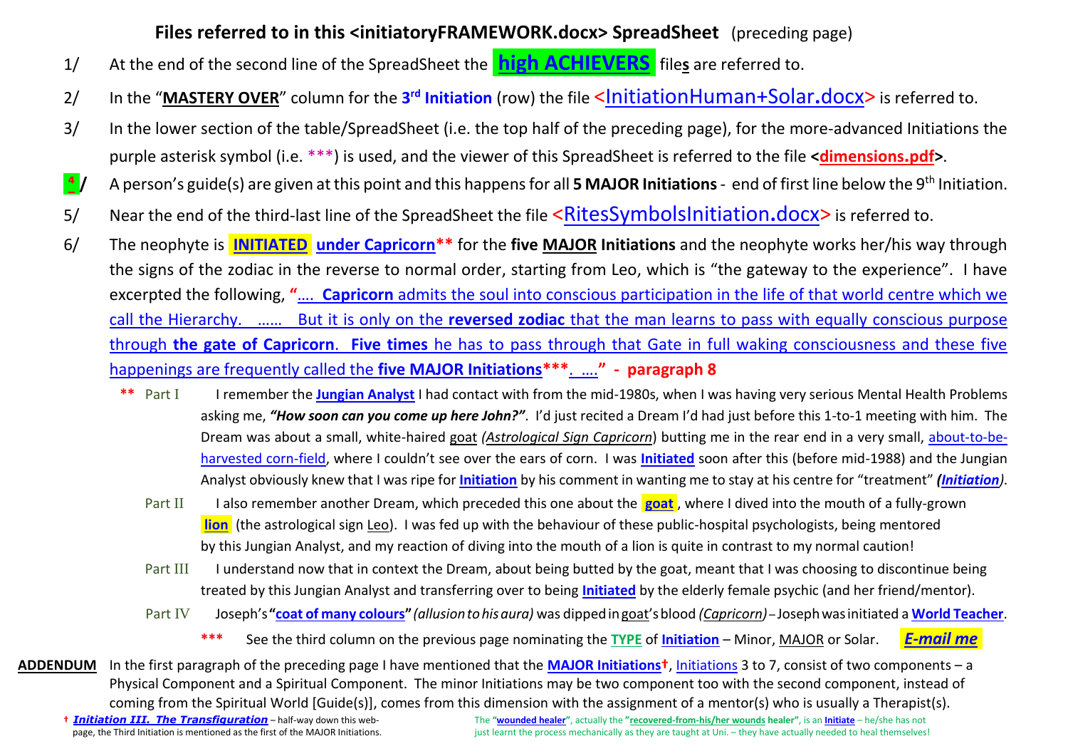## **Files referred to in this <initiatoryFRAMEWORK.docx> SpreadSheet** (preceding page)

- 1/ At the end of the second line of the SpreadSheet the **high [ACHIEVERS](http://www.psychiatryexposed.com.au/files/highachieverweb-page%20(2).pdf)** files are referred to.
- 2/ In the "**MASTERY OVER**" column for the **3 rd Initiation** (row) the file [<InitiationHuman+Solar](http://normalhumandevelopment.com/wp-content/uploads/2016/06/3_InitiationHumanSolar.pdf)**.**docx> is referred to.
- 3/ In the lower section of the table/SpreadSheet (i.e. the top half of the preceding page), for the more-advanced Initiations the purple asterisk symbol (i.e. \*\*\*) is used, and the viewer of this SpreadSheet is referred to the file **<dimensions.pdf>**.
- <sup>4</sup>/ A person's guide(s) are given at this point and this happens for all 5 MAJOR Initiations end of first line below the 9<sup>th</sup> Initiation.
- 5/ Near the end of the third-last line of the SpreadSheet the file [<RitesSymbolsInitiation](http://www.psychiatryexposed.com.au/files/4_RitesSymbolsInitiation.pdf)**.**docx> is referred to.
- 6/ The neophyte is .**[INITIATED](http://www.mermaid-uk.net/esotericinitiations.htm)**. **[under Capricorn\\*](http://www.esotericstudies.net/French/fullmoon/capricorn-fm.pdf)\*** for the **five MAJOR Initiations** and the neophyte works her/his way through the signs of the zodiac in the reverse to normal order, starting from Leo, which is "the gateway to the experience". I have excerpted the following, **"**…. **Capricorn** [admits the soul into conscious participation in the life of that world centre which we](https://www.lucistrust.org/online_books/esoteric_astrology_obooks/chapter_ii_the_nature_esoteric_astrology/3_spiritual_effects_the_zodiacal_constellations_part4)  call the Hierarchy. …… But it is only on the **reversed zodiac** [that the man learns to pass with equally conscious purpose](https://www.lucistrust.org/online_books/esoteric_astrology_obooks/chapter_ii_the_nature_esoteric_astrology/3_spiritual_effects_the_zodiacal_constellations_part4)  through **the gate of Capricorn**. **Five times** [he has to pass through that Gate in full waking consciousness and these five](https://www.lucistrust.org/online_books/esoteric_astrology_obooks/chapter_ii_the_nature_esoteric_astrology/3_spiritual_effects_the_zodiacal_constellations_part4)  [happenings are frequently called the](https://www.lucistrust.org/online_books/esoteric_astrology_obooks/chapter_ii_the_nature_esoteric_astrology/3_spiritual_effects_the_zodiacal_constellations_part4) **five MAJOR Initiations\*\*\***. ….**" - paragraph 8**
	- **\*\*** Part I I remember the **[Jungian Analyst](http://www.jungnewyork.com/what-is-jungian-analysis.shtml)** I had contact with from the mid-1980s, when I was having very serious Mental Health Problems asking me, *"How soon can you come up here John?"*. I'd just recited a Dream I'd had just before this 1-to-1 meeting with him. The Dream was about a small, white-haired goat *(Astrological Sign Capricorn*) butting me in the rear end in a very small, [about-to-be](https://books.google.com.au/books?id=UXCoAAAAQBAJ&pg=PA58&lpg=PA58&dq=corn+spiritual+initiation&source=bl&ots=FC4yEQZ9I9&sig=mJbDMl0Lcm9I1-jK-r-R0FkXqUs&hl=en&sa=X&ved=0ahUKEwjXrYqapNLRAhVIk5QKHd7wD9EQ6AEIGzAA#v=onepage&q=corn%20spiritual%20initiation&f=false)[harvested corn-field,](https://books.google.com.au/books?id=UXCoAAAAQBAJ&pg=PA58&lpg=PA58&dq=corn+spiritual+initiation&source=bl&ots=FC4yEQZ9I9&sig=mJbDMl0Lcm9I1-jK-r-R0FkXqUs&hl=en&sa=X&ved=0ahUKEwjXrYqapNLRAhVIk5QKHd7wD9EQ6AEIGzAA#v=onepage&q=corn%20spiritual%20initiation&f=false) where I couldn't see over the ears of corn. I was **[Initiated](http://amigoingmad.com.au/articles-spiritual-crisis/spiritual-initiation)** soon after this (before mid-1988) and the Jungian Analyst obviously knew that I was ripe for **[Initiation](https://meader.org/articles/spiritual-initiation-milestones-to-enlightenment)** by his comment in wanting me to stay at his centre for "treatment" *[\(Initiation](https://www.summitlighthouse.org/inner-perspectives/life-as-a-path-of-initiation))*.
		- Part II I also remember another Dream, which preceded this one about the **[goat](http://www.mermaid-uk.net/esotericinitiations.htm)**, where I dived into the mouth of a fully-grown .**[lion](http://www.khaldea.com/rudhyar/at/at_c9_pp9.shtml)**. (the astrological sign Leo). I was fed up with the behaviour of these public-hospital psychologists, being mentored by this Jungian Analyst, and my reaction of diving into the mouth of a lion is quite in contrast to my normal caution!
		- Part III I understand now that in context the Dream, about being butted by the goat, meant that I was choosing to discontinue being treated by this Jungian Analyst and transferring over to being **[Initiated](https://deborahking.com/old1/www.deborahkingcenter.com/meditation/initiations/index.html)** by the elderly female psychic (and her friend/mentor).
		- Part IV Joseph's**"[coat of many colours](http://biblehub.com/genesis/37-31.htm)"***(allusiontohisaura)* was dippedingoat'sblood *(Capricorn)* Josephwasinitiated a **[World Teacher](http://www.souledout.org/souledoutglossary.html)**.
			- **\*\*\*** See the third column on the previous page nominating the **TYPE** of **[Initiation](http://drlwilson.com/ARTICLES/INITIATION.htm)** Minor, MAJOR or Solar. *.[E-mail me](mailto:John%20PINK%20%3cpinkii%20[at]%20aapt.net.au%3e?subject=ienquiry%20from%20the%20%3cinitiatoryFRAMEWORK.pdf%3e%20file).*
- **ADDENDUM** In the first paragraph of the preceding page I have mentioned that the **[MAJOR Initiations](https://www.lucistrust.org/online_books/rays_and_the_initiations_obooks/part_two_the_rays_and_the_initiations/section_two_the_aspirant_and_the_major_initiations_part6)†**, [Initiations](http://www.kuthumi-hands.com/myblogs/initiation.htm) 3 to 7, consist of two components a Physical Component and a Spiritual Component. The minor Initiations may be two component too with the second component, instead of coming from the Spiritual World [Guide(s)], comes from this dimension with the assignment of a mentor(s) who is usually a Therapist(s).